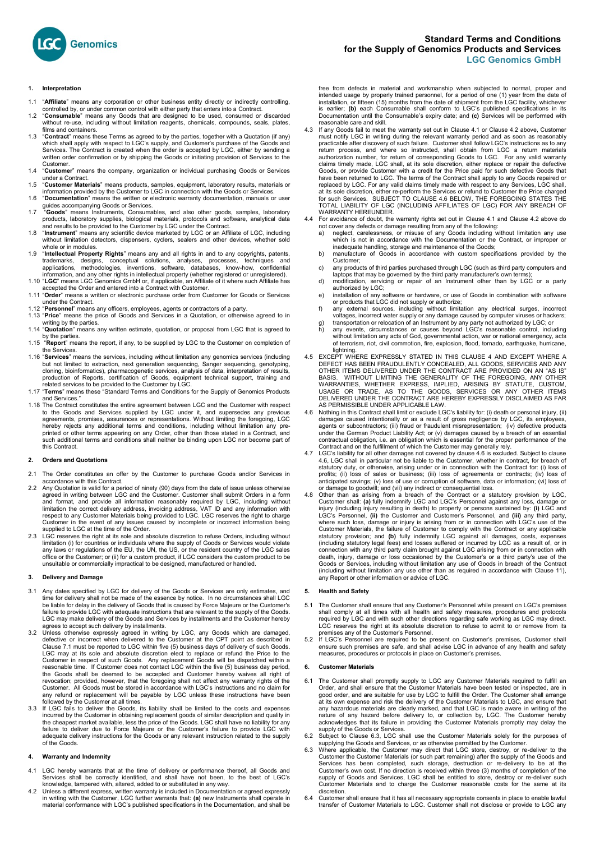

#### **1. Interpretation**

- 1.1 "**Affiliate**" means any corporation or other business entity directly or indirectly controlling, controlled by, or under common control with either party that enters into a Contract.
- 1.2 "**Consumable**" means any Goods that are designed to be used, consumed or discarded without re-use, including without limitation reagents, chemicals, compounds, seals, plates, films and containers.
- films and containers.<br>1.3 **"Contract**" means these Terms as agreed to by the parties, together with a Quotation (if any)<br>which shall apply with respect to LGC's supply, and Customer's purchase of the Goods and Services. The Contract is created when the order is accepted by LGC, either by sending a written order confirmation or by shipping the Goods or initiating provision of Services to the Customer.
- 1.4 "**Customer**" means the company, organization or individual purchasing Goods or Services under a Contract.
- 1.5 "**Customer Materials**" means products, samples, equipment, laboratory results, materials or information provided by the Customer to LGC in connection with the Goods or Services.
- 1.6 "Documentation" means the written or electronic warranty documentation, manuals or user<br>guides accompanying Goods or Services.<br>1.7 "Goods" means Instruments, Consumables, and also other goods, samples, laboratory
- products, laboratory supplies, biological materials, protocols and software, analytical data<br>and results to be provided to the Customer by LGC under the Contract.<br>1.8 "Instrument" means any scientific device marketed by LG
- without limitation detectors, dispensers, cyclers, sealers and other devices, whether sold whole or in modules.
- 1.9 "**Intellectual Property Rights**" means any and all rights in and to any copyrights, patents, trademarks, designs, conceptual solutions, analyses, processes, techniques and applications, methodologies, inventions, software, databases, know-how, confidential information, and any other rights in intellectual property (whether registered or unregistered). 1.10 "**LGC**" means LGC Genomics GmbH or, if applicable, an Affiliate of it where such Affiliate has
- accepted the Order and entered into a Contract with Customer. 1.11 "**Order**" means a written or electronic purchase order from Customer for Goods or Services
- under the Contract.
- 1.12 "**Personnel**" means any officers, employees, agents or contractors of a party. 1.13 "**Price**" means the price of Goods and Services in a Quotation, or otherwise agreed to in
- writing by the parties. 1.14 "**Quotation**" means any written estimate, quotation, or proposal from LGC that is agreed to
- by the parties. 1.15 "**Report**" means the report, if any, to be supplied by LGC to the Customer on completion of
- the Services. 1.16 "**Services**" means the services, including without limitation any genomics services (including but not limited to extraction, next generation sequencing, Sanger sequencing, genotyping, cloning, bioinformatics), pharmacogenetic services, analysis of data, interpretation of results, production of Reports, certification of Goods, equipment technical support, training and
- related services to be provided to the Customer by LGC. 1.17 "**Terms**" means these "Standard Terms and Conditions for the Supply of Genomics Products and Services.
- 1.18 The Contract constitutes the entire agreement between LGC and the Customer with respect to the Goods and Services supplied by LGC under it, and supersedes any previous agreements, promises, assurances or representations. Without limiting the foregoing, LGC<br>hereby rejects any additional terms and conditions, including without limitation any pre-<br>printed or other terms appearing on any Ord this Contract.

# **2. Orders and Quotations**

- 2.1 The Order constitutes an offer by the Customer to purchase Goods and/or Services in accordance with this Contract.
- 2.2 Any Quotation is valid for a period of ninety (90) days from the date of issue unless otherwise agreed in writing between LGC and the Customer. Customer shall submit Orders in a form and format, and provide all information reasonably required by LGC, including without limitation the correct delivery address, invoicing address, VAT ID and any information with respect to any Customer Materials being provided to LGC. LGC reserves the right to charge Customer in the event of any issues caused by incomplete or incorrect information being<br>supplied to LGC at the time of the Order.<br>2.3 LGC reserves the right at its sole and absolute discretion to refuse Orders, including w
- limitation (i) for countries or individuals where the supply of Goods or Services would violate any laws or regulations of the EU, the UN, the US, or the resident country of the LGC sales office or the Customer; or (ii) for a custom product, if LGC considers the custom product to be unsuitable or commercially impractical to be designed, manufactured or handled.

# **3. Delivery and Damage**

- Any dates specified by LGC for delivery of the Goods or Services are only estimates, and time for delivery shall not be made of the essence by notice. In no circumstances shall LGC be liable for delay in the delivery of Goods that is caused by Force Majeure or the Customer's failure to provide LGC with adequate instructions that are relevant to the supply of the Goods. LGC may make delivery of the Goods and Services by installments and the Customer hereby agrees to accept such delivery by installments.
- 3.2 Unless otherwise expressly agreed in writing by LGC, any Goods which are damaged, defective or incorrect when delivered to the Customer at the CPT point as described in Clause 7.1 must be reported to LGC within five (5) business days of delivery of such Goods. LGC may at its sole and absolute discretion elect to replace or refund the Price to the Customer in respect of such Goods. Any replacement Goods will be dispatched within a reasonable time. If Customer does not contact LGC within the five (5) business day period, the Goods shall be deemed to be accepted and C any refund or replacement will be payable by LGC unless these instructions have been<br>followed by the Customer at all times.
- followed by the Customer at all times.<br>3.3 If LGC fails to deliver the Goods, its liability shall be limited to the costs and expenses<br>incurred by the Customer in obtaining replacement goods of similar description and qual adequate delivery instructions for the Goods or any relevant instruction related to the supply of the Goods.

# **4. Warranty and Indemnity**

- 4.1 LGC hereby warrants that at the time of delivery or performance thereof, all Goods and Services shall be correctly identified, and shall have not been, to the best of LGC's knowledge, tampered with, altered, added to o
- in writing with the Customer, LGC further warrants that: **(a)** new Instruments shall operate in material conformance with LGC's published specifications in the Documentation, and shall be

free from defects in material and workmanship when subjected to normal, proper and<br>intended usage by properly trained personnel, for a period of one (1) year from the date of<br>installation, or fifteen (15) months from the d Documentation until the Consumable's expiry date; and **(c)** Services will be performed with reasonable care and skill.

- 4.3 If any Goods fail to meet the warranty set out in Clause 4.1 or Clause 4.2 above, Customer must notify LGC in writing during the relevant warranty period and as soon as reasonably practicable after discovery of such failure. Customer shall follow LGC's instructions as to any return process, and where so instructed, shall obtain from LGC a return materials<br>authorization number, for return of corresponding Goods to LGC. For any valid warranty<br>claims timely made, LGC shall, at its sole discretion replaced by LGC. For any valid claims timely made with respect to any Services, LGC shall, at its sole discretion, either re-perform the Services or refund to Customer the Price charged<br>for such Services. SUBJECT TO CLAUSE 4.6 BELOW, THE FOREGOING STATES THE<br>TOTAL LIABILITY OF LGC (INCLUDING AFFILIATES OF LGC) WARRANTY HEREUNDER.
- 4.4 For avoidance of doubt, the warranty rights set out in Clause 4.1 and Clause 4.2 above do
	- not cover any defects or damage resulting from any of the following:<br>a) neglect, carelessness, or misuse of any Goods including without limitation any use<br>which is not in accordance with the Documentation or the Contract,
	- b) manufacture of Goods in accordance with custom specifications provided by the Customer;
	- c) any products of third parties purchased through LGC (such as third party computers and laptops that may be governed by the third party manufacturer's own terms);
	- d) modification, servicing or repair of an Instrument other than by LGC or a party authorized by LGC;<br>installation of any software or hardware, or use of Goods in combination with software
	-
	-
	- e) installation of any software or hardware, or use of Goods in combination with software<br>for products that LGC did not supply or authorize;<br>any external sources, including without limitation any electrical surges, incorre
- lightning.<br>EXCEPT WHERE EXPRESSLY STATED IN THIS CLAUSE 4 AND EXCEPT WHERE A 4.5 EXCEPT WHERE EXPRESSLY STATED IN THIS CLAUSE 4 AND EXCEPT WHERE A<br>DEFECT HAS BEEN FRAUDULENTLY CONCEALED, ALL GOODS, SERVICES AND ANY<br>OTHER ITEMS DELIVERED UNDER THE CONTRACT ARE PROVIDED ON AN "AS IS"<br>BASIS. WITHOUT L
- 4.6 Nothing in this Contract shall limit or exclude LGC's liability for: (i) death or personal injury, (ii) damages caused intentionally or as a result of gross negligence by LGC, its employees, agents or subcontractors; (iii) fraud or fraudulent misrepresentation; (iv) defective products under the German Product Liability Act;
- 4.7 LGC's liability for all other damages not covered by clause 4.6 is excluded. Subject to clause 4.6, LGC shall in particular not be liable to the Customer, whether in contract, for breach of statutory duty, or otherwise, arising under or in connection with the Contract for: (i) loss of profits; (ii) loss of sales or business; (iii) loss of agreements or contracts; (iv) loss of anticipated savings; (v) loss of
- 4.8 Other than as arising from a breach of the Contract or a statutory provision by LGC, Customer shall: (a) fully indemnify LGC and LGC's Personnel against any loss, damage or injury (including injury resulting in death) where such loss, damage or injury is arising from or in connection with LGC's use of the Customer Materials, the failure of Customer to comply with the Contact or any applicable statutory provision; and (b) fully indemnify death, injury, damage or loss occasioned by the Customer's or a third party's use of the Goods or Services, including without limitation any use of Goods in breach of the Contract (including without limitation any use other than as required in accordance with Clause 11), any Report or other information or advice of LGC.

# **5. Health and Safety**

- 5.1 The Customer shall ensure that any Customer's Personnel while present on LGC's premises<br>shall comply at all times with all health and safety measures, procedures and protocols<br>required by LGC and with such other direct LGC reserves the right at its absolute discretion to refuse to admit to or remove from its
- premises any of the Customer's Personnel. 5.2 If LGC's Personnel are required to be present on Customer's premises, Customer shall ensure such premises are safe, and shall advise LGC in advance of any health and safety measures, procedures or protocols in place on Customer's premises.

# **6. Customer Materials**

- 6.1 The Customer shall promptly supply to LGC any Customer Materials required to fulfill an Order, and shall ensure that the Customer Materials have been tested or inspected, are in good order, and are suitable for use by LGC to fulfill the Order. The Customer shall arrange at its own expense and risk the delivery of the Customer Materials to LGC, and ensure that<br>any hazardous materials are clearly marked, and that LGC is made aware in writing of the<br>nature of any hazard before delivery to, o supply of the Goods or Services.
- 6.2 Subject to Clause 6.3, LGC shall use the Customer Materials solely for the purposes of<br>supplying the Goods and Services, or as otherwise permitted by the Customer.<br>6.3 Where applicable, the Customer may direct that LGC
- Customer the Customer Materials (or such part remaining) after the supply of the Goods and Services has been completed, such storage, destruction or re-delivery to be at the Customer's own cost. If no direction is received within three (3) months of completion of the supply of Goods and Services, LGC shall be en discretion.
- 6.4 Customer shall ensure that it has all necessary appropriate consents in place to enable lawful transfer of Customer Materials to LGC. Customer shall not disclose or provide to LGC any